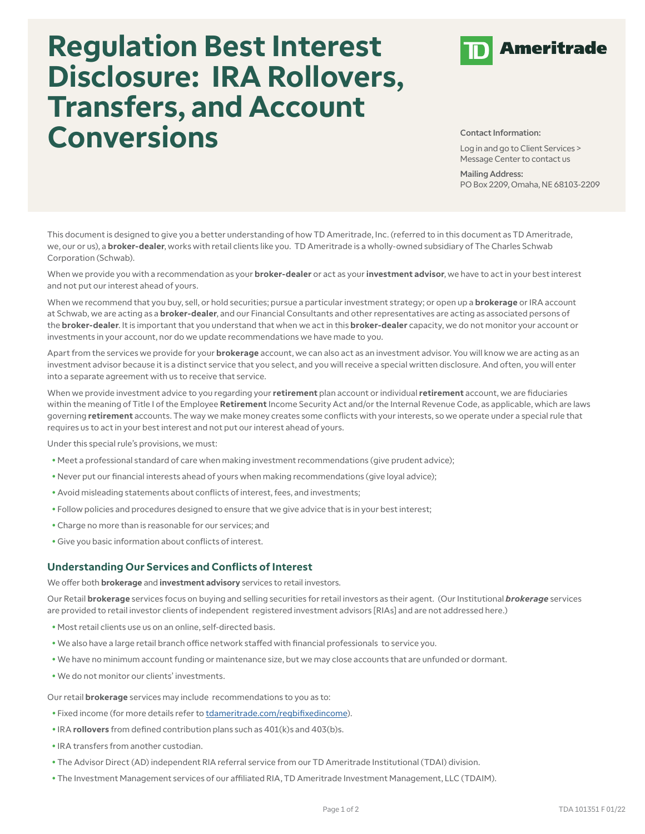## **Regulation Best Interest Disclosure: IRA Rollovers, Transfers, and Account Conversions Conversion**



Log in and go to Client Services > Message Center to contact us

Mailing Address: PO Box 2209, Omaha, NE 68103-2209

This document is designed to give you a better understanding of how TD Ameritrade, Inc. (referred to in this document as TD Ameritrade, we, our or us), a **broker-dealer**, works with retail clients like you. TD Ameritrade is a wholly-owned subsidiary of The Charles Schwab Corporation (Schwab).

When we provide you with a recommendation as your **broker-dealer** or act as your **investment advisor**, we have to act in your best interest and not put our interest ahead of yours.

When we recommend that you buy, sell, or hold securities; pursue a particular investment strategy; or open up a **brokerage** or IRA account at Schwab, we are acting as a **broker-dealer**, and our Financial Consultants and other representatives are acting as associated persons of the **broker-dealer**. It is important that you understand that when we act in this **broker-dealer** capacity, we do not monitor your account or investments in your account, nor do we update recommendations we have made to you.

Apart from the services we provide for your **brokerage** account, we can also act as an investment advisor. You will know we are acting as an investment advisor because it is a distinct service that you select, and you will receive a special written disclosure. And often, you will enter into a separate agreement with us to receive that service.

When we provide investment advice to you regarding your **retirement** plan account or individual **retirement** account, we are fiduciaries within the meaning of Title I of the Employee **Retirement** Income Security Act and/or the Internal Revenue Code, as applicable, which are laws governing **retirement** accounts. The way we make money creates some conflicts with your interests, so we operate under a special rule that requires us to act in your best interest and not put our interest ahead of yours.

Under this special rule's provisions, we must:

- Meet a professional standard of care when making investment recommendations (give prudent advice);
- Never put our financial interests ahead of yours when making recommendations (give loyal advice);
- Avoid misleading statements about conflicts of interest, fees, and investments;
- Follow policies and procedures designed to ensure that we give advice that is in your best interest;
- Charge no more than is reasonable for our services; and
- Give you basic information about conflicts of interest.

## **Understanding Our Services and Conflicts of Interest**

We offer both **brokerage** and **investment advisory** services to retail investors.

Our Retail **brokerage** services focus on buying and selling securities for retail investors as their agent. (Our Institutional *brokerage* services are provided to retail investor clients of independent registered investment advisors [RIAs] and are not addressed here.)

- Most retail clients use us on an online, self-directed basis.
- We also have a large retail branch office network staffed with financial professionals to service you.
- We have no minimum account funding or maintenance size, but we may close accounts that are unfunded or dormant.
- We do not monitor our clients' investments.

Our retail **brokerage** services may include recommendations to you as to:

- Fixed income (for more details refer to [tdameritrade.com/regbifixedincome\)](https://www.tdameritrade.com/retail-en_us/resources/pdf/TDA101345.pdf).
- IRA **rollovers** from defined contribution plans such as 401(k)s and 403(b)s.
- IRA transfers from another custodian.
- The Advisor Direct (AD) independent RIA referral service from our TD Ameritrade Institutional (TDAI) division.
- The Investment Management services of our affiliated RIA, TD Ameritrade Investment Management, LLC (TDAIM).